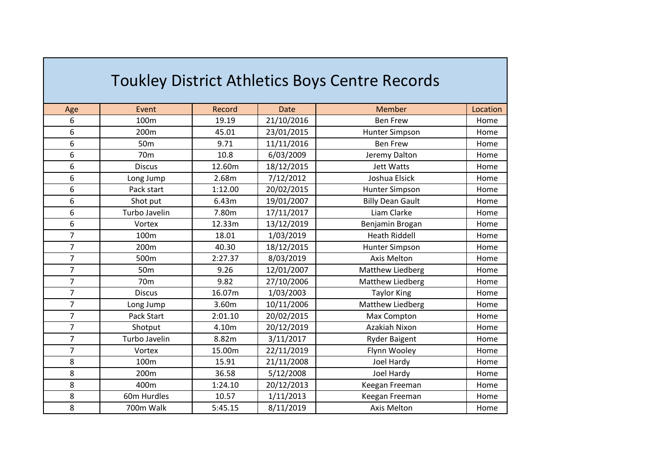|                |                 |         |             | <b>Toukley District Athletics Boys Centre Records</b> |          |
|----------------|-----------------|---------|-------------|-------------------------------------------------------|----------|
| Age            | Event           | Record  | <b>Date</b> | Member                                                | Location |
| 6              | 100m            | 19.19   | 21/10/2016  | <b>Ben Frew</b>                                       | Home     |
| 6              | 200m            | 45.01   | 23/01/2015  | <b>Hunter Simpson</b>                                 | Home     |
| 6              | 50 <sub>m</sub> | 9.71    | 11/11/2016  | <b>Ben Frew</b>                                       | Home     |
| 6              | 70 <sub>m</sub> | 10.8    | 6/03/2009   | Jeremy Dalton                                         | Home     |
| 6              | <b>Discus</b>   | 12.60m  | 18/12/2015  | <b>Jett Watts</b>                                     | Home     |
| 6              | Long Jump       | 2.68m   | 7/12/2012   | Joshua Elsick                                         | Home     |
| 6              | Pack start      | 1:12.00 | 20/02/2015  | <b>Hunter Simpson</b>                                 | Home     |
| 6              | Shot put        | 6.43m   | 19/01/2007  | <b>Billy Dean Gault</b>                               | Home     |
| 6              | Turbo Javelin   | 7.80m   | 17/11/2017  | Liam Clarke                                           | Home     |
| 6              | Vortex          | 12.33m  | 13/12/2019  | Benjamin Brogan                                       | Home     |
| $\overline{7}$ | 100m            | 18.01   | 1/03/2019   | <b>Heath Riddell</b>                                  | Home     |
| $\overline{7}$ | 200m            | 40.30   | 18/12/2015  | Hunter Simpson                                        | Home     |
| $\overline{7}$ | 500m            | 2:27.37 | 8/03/2019   | Axis Melton                                           | Home     |
| $\overline{7}$ | 50 <sub>m</sub> | 9.26    | 12/01/2007  | Matthew Liedberg                                      | Home     |
| $\overline{7}$ | 70 <sub>m</sub> | 9.82    | 27/10/2006  | Matthew Liedberg                                      | Home     |
| $\overline{7}$ | <b>Discus</b>   | 16.07m  | 1/03/2003   | <b>Taylor King</b>                                    | Home     |
| $\overline{7}$ | Long Jump       | 3.60m   | 10/11/2006  | Matthew Liedberg                                      | Home     |
| $\overline{7}$ | Pack Start      | 2:01.10 | 20/02/2015  | Max Compton                                           | Home     |
| $\overline{7}$ | Shotput         | 4.10m   | 20/12/2019  | Azakiah Nixon                                         | Home     |
| $\overline{7}$ | Turbo Javelin   | 8.82m   | 3/11/2017   | <b>Ryder Baigent</b>                                  | Home     |
| $\overline{7}$ | Vortex          | 15.00m  | 22/11/2019  | Flynn Wooley                                          | Home     |
| 8              | 100m            | 15.91   | 21/11/2008  | Joel Hardy                                            | Home     |
| 8              | 200m            | 36.58   | 5/12/2008   | Joel Hardy                                            | Home     |
| 8              | 400m            | 1:24.10 | 20/12/2013  | Keegan Freeman                                        | Home     |
| 8              | 60m Hurdles     | 10.57   | 1/11/2013   | Keegan Freeman                                        | Home     |
| 8              | 700m Walk       | 5:45.15 | 8/11/2019   | Axis Melton                                           | Home     |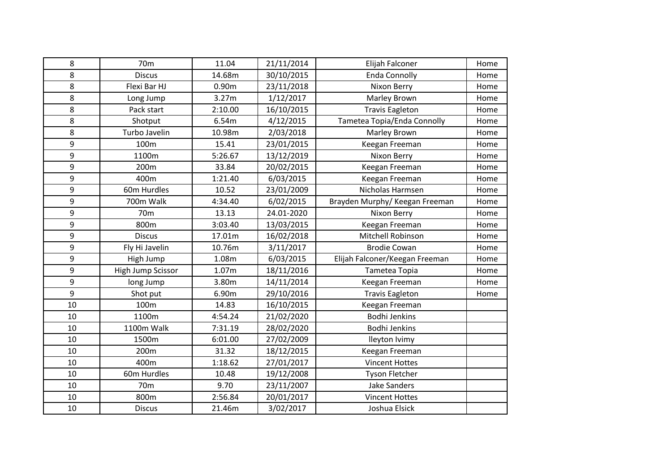| 8  | 70 <sub>m</sub>   | 11.04   | 21/11/2014 | Elijah Falconer                | Home |
|----|-------------------|---------|------------|--------------------------------|------|
| 8  | <b>Discus</b>     | 14.68m  | 30/10/2015 | <b>Enda Connolly</b>           | Home |
| 8  | Flexi Bar HJ      |         | 23/11/2018 | Nixon Berry                    | Home |
| 8  | Long Jump         | 3.27m   | 1/12/2017  | Marley Brown                   | Home |
| 8  | Pack start        | 2:10.00 | 16/10/2015 | <b>Travis Eagleton</b>         | Home |
| 8  | Shotput           | 6.54m   | 4/12/2015  | Tametea Topia/Enda Connolly    | Home |
| 8  | Turbo Javelin     | 10.98m  | 2/03/2018  | Marley Brown                   | Home |
| 9  | 100m              | 15.41   | 23/01/2015 | Keegan Freeman                 | Home |
| 9  | 1100m             | 5:26.67 | 13/12/2019 | Nixon Berry                    | Home |
| 9  | 200m              | 33.84   | 20/02/2015 | Keegan Freeman                 | Home |
| 9  | 400m              | 1:21.40 | 6/03/2015  | Keegan Freeman                 | Home |
| 9  | 60m Hurdles       | 10.52   | 23/01/2009 | Nicholas Harmsen               | Home |
| 9  | 700m Walk         | 4:34.40 | 6/02/2015  | Brayden Murphy/ Keegan Freeman | Home |
| 9  | 70 <sub>m</sub>   | 13.13   | 24.01-2020 | Nixon Berry                    | Home |
| 9  | 800m              | 3:03.40 | 13/03/2015 | Keegan Freeman                 | Home |
| 9  | <b>Discus</b>     | 17.01m  | 16/02/2018 | Mitchell Robinson              | Home |
| 9  | Fly Hi Javelin    | 10.76m  | 3/11/2017  | <b>Brodie Cowan</b>            | Home |
| 9  | High Jump         | 1.08m   | 6/03/2015  | Elijah Falconer/Keegan Freeman | Home |
| 9  | High Jump Scissor | 1.07m   | 18/11/2016 | Tametea Topia                  | Home |
| 9  | long Jump         | 3.80m   | 14/11/2014 | Keegan Freeman                 | Home |
| 9  | Shot put          | 6.90m   | 29/10/2016 | <b>Travis Eagleton</b>         | Home |
| 10 | 100m              | 14.83   | 16/10/2015 | Keegan Freeman                 |      |
| 10 | 1100m             | 4:54.24 | 21/02/2020 | <b>Bodhi Jenkins</b>           |      |
| 10 | 1100m Walk        | 7:31.19 | 28/02/2020 | Bodhi Jenkins                  |      |
| 10 | 1500m             | 6:01.00 | 27/02/2009 | lleyton Ivimy                  |      |
| 10 | 200m              | 31.32   | 18/12/2015 | Keegan Freeman                 |      |
| 10 | 400m              | 1:18.62 | 27/01/2017 | <b>Vincent Hottes</b>          |      |
| 10 | 60m Hurdles       | 10.48   | 19/12/2008 | <b>Tyson Fletcher</b>          |      |
| 10 | 70 <sub>m</sub>   | 9.70    | 23/11/2007 | <b>Jake Sanders</b>            |      |
| 10 | 800m              | 2:56.84 | 20/01/2017 | <b>Vincent Hottes</b>          |      |
| 10 | <b>Discus</b>     | 21.46m  | 3/02/2017  | Joshua Elsick                  |      |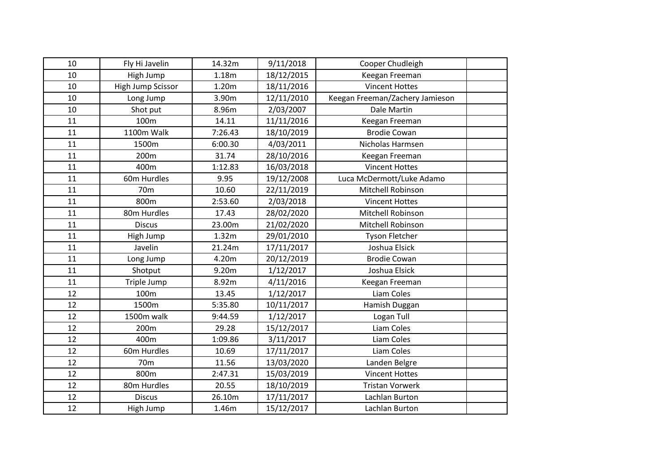| 10 | Fly Hi Javelin    | 14.32m  | 9/11/2018  | Cooper Chudleigh                |  |
|----|-------------------|---------|------------|---------------------------------|--|
| 10 | High Jump         | 1.18m   | 18/12/2015 | Keegan Freeman                  |  |
| 10 | High Jump Scissor | 1.20m   | 18/11/2016 | <b>Vincent Hottes</b>           |  |
| 10 | Long Jump         | 3.90m   | 12/11/2010 | Keegan Freeman/Zachery Jamieson |  |
| 10 | Shot put          | 8.96m   | 2/03/2007  | Dale Martin                     |  |
| 11 | 100m              | 14.11   | 11/11/2016 | Keegan Freeman                  |  |
| 11 | 1100m Walk        | 7:26.43 | 18/10/2019 | <b>Brodie Cowan</b>             |  |
| 11 | 1500m             | 6:00.30 | 4/03/2011  | Nicholas Harmsen                |  |
| 11 | 200m              | 31.74   | 28/10/2016 | Keegan Freeman                  |  |
| 11 | 400m              | 1:12.83 | 16/03/2018 | <b>Vincent Hottes</b>           |  |
| 11 | 60m Hurdles       | 9.95    | 19/12/2008 | Luca McDermott/Luke Adamo       |  |
| 11 | 70 <sub>m</sub>   | 10.60   | 22/11/2019 | Mitchell Robinson               |  |
| 11 | 800m              | 2:53.60 | 2/03/2018  | <b>Vincent Hottes</b>           |  |
| 11 | 80m Hurdles       | 17.43   | 28/02/2020 | Mitchell Robinson               |  |
| 11 | <b>Discus</b>     | 23.00m  | 21/02/2020 | Mitchell Robinson               |  |
| 11 | High Jump         | 1.32m   | 29/01/2010 | <b>Tyson Fletcher</b>           |  |
| 11 | Javelin           | 21.24m  | 17/11/2017 | Joshua Elsick                   |  |
| 11 | Long Jump         | 4.20m   | 20/12/2019 | <b>Brodie Cowan</b>             |  |
| 11 | Shotput           | 9.20m   | 1/12/2017  | Joshua Elsick                   |  |
| 11 | Triple Jump       | 8.92m   | 4/11/2016  | Keegan Freeman                  |  |
| 12 | 100m              | 13.45   | 1/12/2017  | Liam Coles                      |  |
| 12 | 1500m             | 5:35.80 | 10/11/2017 | Hamish Duggan                   |  |
| 12 | 1500m walk        | 9:44.59 | 1/12/2017  | Logan Tull                      |  |
| 12 | 200m              | 29.28   | 15/12/2017 | Liam Coles                      |  |
| 12 | 400m              | 1:09.86 | 3/11/2017  | Liam Coles                      |  |
| 12 | 60m Hurdles       | 10.69   | 17/11/2017 | Liam Coles                      |  |
| 12 | 70 <sub>m</sub>   | 11.56   | 13/03/2020 | Landen Belgre                   |  |
| 12 | 800m              | 2:47.31 | 15/03/2019 | <b>Vincent Hottes</b>           |  |
| 12 | 80m Hurdles       | 20.55   | 18/10/2019 | <b>Tristan Vorwerk</b>          |  |
| 12 | <b>Discus</b>     | 26.10m  | 17/11/2017 | Lachlan Burton                  |  |
| 12 | High Jump         | 1.46m   | 15/12/2017 | Lachlan Burton                  |  |
|    |                   |         |            |                                 |  |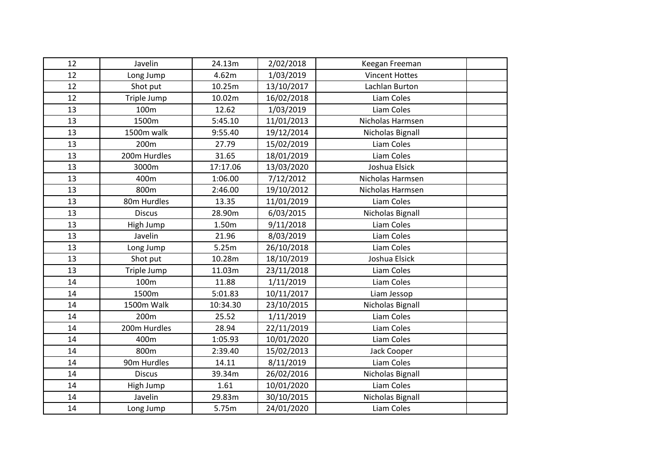| 12 | Javelin       | 24.13m   | 2/02/2018  | Keegan Freeman        |  |
|----|---------------|----------|------------|-----------------------|--|
| 12 | Long Jump     | 4.62m    | 1/03/2019  | <b>Vincent Hottes</b> |  |
| 12 | Shot put      | 10.25m   | 13/10/2017 | Lachlan Burton        |  |
| 12 | Triple Jump   | 10.02m   | 16/02/2018 | Liam Coles            |  |
| 13 | 100m          | 12.62    | 1/03/2019  | Liam Coles            |  |
| 13 | 1500m         | 5:45.10  | 11/01/2013 | Nicholas Harmsen      |  |
| 13 | 1500m walk    | 9:55.40  | 19/12/2014 | Nicholas Bignall      |  |
| 13 | 200m          | 27.79    | 15/02/2019 | Liam Coles            |  |
| 13 | 200m Hurdles  | 31.65    | 18/01/2019 | Liam Coles            |  |
| 13 | 3000m         | 17:17.06 | 13/03/2020 | Joshua Elsick         |  |
| 13 | 400m          | 1:06.00  | 7/12/2012  | Nicholas Harmsen      |  |
| 13 | 800m          | 2:46.00  | 19/10/2012 | Nicholas Harmsen      |  |
| 13 | 80m Hurdles   | 13.35    | 11/01/2019 | Liam Coles            |  |
| 13 | <b>Discus</b> | 28.90m   | 6/03/2015  | Nicholas Bignall      |  |
| 13 | High Jump     | 1.50m    | 9/11/2018  | Liam Coles            |  |
| 13 | Javelin       | 21.96    | 8/03/2019  | Liam Coles            |  |
| 13 | Long Jump     | 5.25m    | 26/10/2018 | Liam Coles            |  |
| 13 | Shot put      | 10.28m   | 18/10/2019 | Joshua Elsick         |  |
| 13 | Triple Jump   | 11.03m   | 23/11/2018 | Liam Coles            |  |
| 14 | 100m          | 11.88    | 1/11/2019  | Liam Coles            |  |
| 14 | 1500m         | 5:01.83  | 10/11/2017 | Liam Jessop           |  |
| 14 | 1500m Walk    | 10:34.30 | 23/10/2015 | Nicholas Bignall      |  |
| 14 | 200m          | 25.52    | 1/11/2019  | Liam Coles            |  |
| 14 | 200m Hurdles  | 28.94    | 22/11/2019 | Liam Coles            |  |
| 14 | 400m          | 1:05.93  | 10/01/2020 | Liam Coles            |  |
| 14 | 800m          | 2:39.40  | 15/02/2013 | <b>Jack Cooper</b>    |  |
| 14 | 90m Hurdles   | 14.11    | 8/11/2019  | Liam Coles            |  |
| 14 | <b>Discus</b> | 39.34m   | 26/02/2016 | Nicholas Bignall      |  |
| 14 | High Jump     | 1.61     | 10/01/2020 | Liam Coles            |  |
| 14 | Javelin       | 29.83m   | 30/10/2015 | Nicholas Bignall      |  |
| 14 | Long Jump     | 5.75m    | 24/01/2020 | Liam Coles            |  |
|    |               |          |            |                       |  |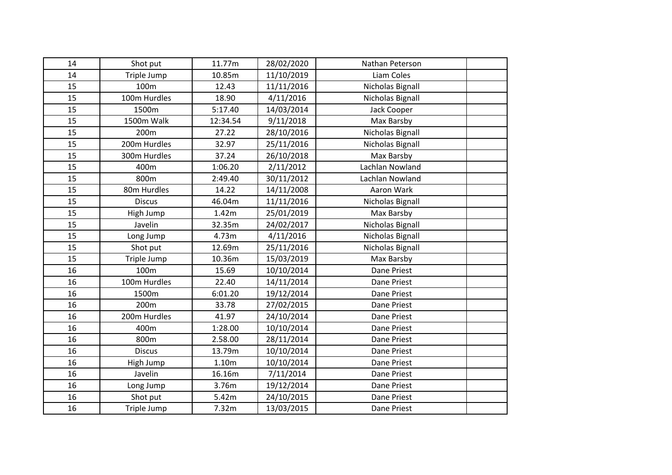| 14 | Shot put      | 11.77m   | 28/02/2020 | Nathan Peterson  |  |
|----|---------------|----------|------------|------------------|--|
| 14 | Triple Jump   | 10.85m   | 11/10/2019 | Liam Coles       |  |
| 15 | 100m          | 12.43    | 11/11/2016 | Nicholas Bignall |  |
| 15 | 100m Hurdles  | 18.90    | 4/11/2016  | Nicholas Bignall |  |
| 15 | 1500m         | 5:17.40  | 14/03/2014 | Jack Cooper      |  |
| 15 | 1500m Walk    | 12:34.54 | 9/11/2018  | Max Barsby       |  |
| 15 | 200m          | 27.22    | 28/10/2016 | Nicholas Bignall |  |
| 15 | 200m Hurdles  | 32.97    | 25/11/2016 | Nicholas Bignall |  |
| 15 | 300m Hurdles  | 37.24    | 26/10/2018 | Max Barsby       |  |
| 15 | 400m          | 1:06.20  | 2/11/2012  | Lachlan Nowland  |  |
| 15 | 800m          | 2:49.40  | 30/11/2012 | Lachlan Nowland  |  |
| 15 | 80m Hurdles   | 14.22    | 14/11/2008 | Aaron Wark       |  |
| 15 | <b>Discus</b> | 46.04m   | 11/11/2016 | Nicholas Bignall |  |
| 15 | High Jump     | 1.42m    | 25/01/2019 | Max Barsby       |  |
| 15 | Javelin       | 32.35m   | 24/02/2017 | Nicholas Bignall |  |
| 15 | Long Jump     | 4.73m    | 4/11/2016  | Nicholas Bignall |  |
| 15 | Shot put      | 12.69m   | 25/11/2016 | Nicholas Bignall |  |
| 15 | Triple Jump   | 10.36m   | 15/03/2019 | Max Barsby       |  |
| 16 | 100m          | 15.69    | 10/10/2014 | Dane Priest      |  |
| 16 | 100m Hurdles  | 22.40    | 14/11/2014 | Dane Priest      |  |
| 16 | 1500m         | 6:01.20  | 19/12/2014 | Dane Priest      |  |
| 16 | 200m          | 33.78    | 27/02/2015 | Dane Priest      |  |
| 16 | 200m Hurdles  | 41.97    | 24/10/2014 | Dane Priest      |  |
| 16 | 400m          | 1:28.00  | 10/10/2014 | Dane Priest      |  |
| 16 | 800m          | 2.58.00  | 28/11/2014 | Dane Priest      |  |
| 16 | <b>Discus</b> | 13.79m   | 10/10/2014 | Dane Priest      |  |
| 16 | High Jump     | 1.10m    | 10/10/2014 | Dane Priest      |  |
| 16 | Javelin       | 16.16m   | 7/11/2014  | Dane Priest      |  |
| 16 | Long Jump     | 3.76m    | 19/12/2014 | Dane Priest      |  |
| 16 | Shot put      | 5.42m    | 24/10/2015 | Dane Priest      |  |
| 16 | Triple Jump   | 7.32m    | 13/03/2015 | Dane Priest      |  |
|    |               |          |            |                  |  |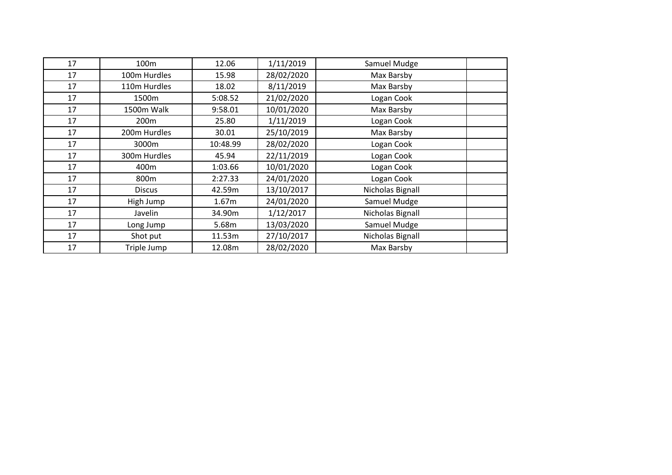| 17 | 100m          | 12.06             | 1/11/2019  | Samuel Mudge     |
|----|---------------|-------------------|------------|------------------|
| 17 | 100m Hurdles  | 15.98             | 28/02/2020 | Max Barsby       |
| 17 | 110m Hurdles  | 18.02             | 8/11/2019  | Max Barsby       |
| 17 | 1500m         | 5:08.52           | 21/02/2020 | Logan Cook       |
| 17 | 1500m Walk    | 9:58.01           | 10/01/2020 | Max Barsby       |
| 17 | 200m          | 25.80             | 1/11/2019  | Logan Cook       |
| 17 | 200m Hurdles  | 30.01             | 25/10/2019 | Max Barsby       |
| 17 | 3000m         | 10:48.99          | 28/02/2020 | Logan Cook       |
| 17 | 300m Hurdles  | 45.94             | 22/11/2019 | Logan Cook       |
| 17 | 400m          | 1:03.66           | 10/01/2020 | Logan Cook       |
| 17 | 800m          | 2:27.33           | 24/01/2020 | Logan Cook       |
| 17 | <b>Discus</b> | 42.59m            | 13/10/2017 | Nicholas Bignall |
| 17 | High Jump     | 1.67 <sub>m</sub> | 24/01/2020 | Samuel Mudge     |
| 17 | Javelin       | 34.90m            | 1/12/2017  | Nicholas Bignall |
| 17 | Long Jump     | 5.68m             | 13/03/2020 | Samuel Mudge     |
| 17 | Shot put      | 11.53m            | 27/10/2017 | Nicholas Bignall |
| 17 | Triple Jump   | 12.08m            | 28/02/2020 | Max Barsby       |
|    |               |                   |            |                  |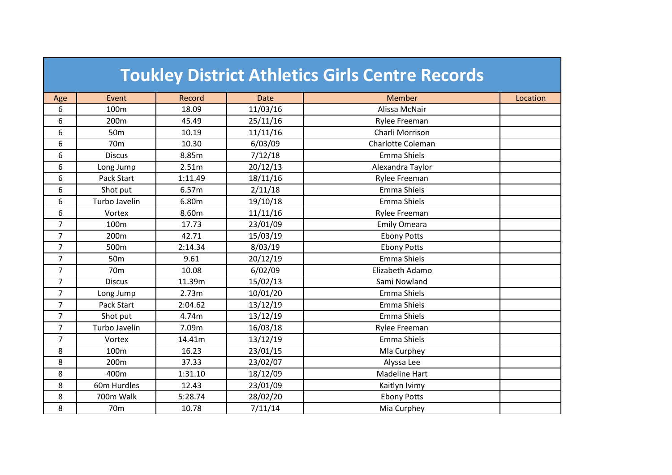|                  |                 |         |             | <b>Toukley District Athletics Girls Centre Records</b> |          |
|------------------|-----------------|---------|-------------|--------------------------------------------------------|----------|
| Age              | Event           | Record  | <b>Date</b> | Member                                                 | Location |
| 6                | 100m            | 18.09   | 11/03/16    | Alissa McNair                                          |          |
| 6                | 200m            | 45.49   | 25/11/16    | Rylee Freeman                                          |          |
| 6                | 50 <sub>m</sub> | 10.19   | 11/11/16    | Charli Morrison                                        |          |
| $\boldsymbol{6}$ | 70 <sub>m</sub> | 10.30   | 6/03/09     | <b>Charlotte Coleman</b>                               |          |
| 6                | <b>Discus</b>   | 8.85m   | 7/12/18     | <b>Emma Shiels</b>                                     |          |
| 6                | Long Jump       | 2.51m   | 20/12/13    | Alexandra Taylor                                       |          |
| 6                | Pack Start      | 1:11.49 | 18/11/16    | Rylee Freeman                                          |          |
| 6                | Shot put        | 6.57m   | 2/11/18     | Emma Shiels                                            |          |
| 6                | Turbo Javelin   | 6.80m   | 19/10/18    | <b>Emma Shiels</b>                                     |          |
| $\boldsymbol{6}$ | Vortex          | 8.60m   | 11/11/16    | <b>Rylee Freeman</b>                                   |          |
| $\overline{7}$   | 100m            | 17.73   | 23/01/09    | <b>Emily Omeara</b>                                    |          |
| $\overline{7}$   | 200m            | 42.71   | 15/03/19    | <b>Ebony Potts</b>                                     |          |
| $\overline{7}$   | 500m            | 2:14.34 | 8/03/19     | <b>Ebony Potts</b>                                     |          |
| $\overline{7}$   | 50 <sub>m</sub> | 9.61    | 20/12/19    | <b>Emma Shiels</b>                                     |          |
| $\overline{7}$   | 70 <sub>m</sub> | 10.08   | 6/02/09     | Elizabeth Adamo                                        |          |
| $\overline{7}$   | <b>Discus</b>   | 11.39m  | 15/02/13    | Sami Nowland                                           |          |
| $\overline{7}$   | Long Jump       | 2.73m   | 10/01/20    | Emma Shiels                                            |          |
| $\overline{7}$   | Pack Start      | 2:04.62 | 13/12/19    | <b>Emma Shiels</b>                                     |          |
| $\overline{7}$   | Shot put        | 4.74m   | 13/12/19    | <b>Emma Shiels</b>                                     |          |
| $\overline{7}$   | Turbo Javelin   | 7.09m   | 16/03/18    | Rylee Freeman                                          |          |
| $\overline{7}$   | Vortex          | 14.41m  | 13/12/19    | <b>Emma Shiels</b>                                     |          |
| 8                | 100m            | 16.23   | 23/01/15    | Mla Curphey                                            |          |
| 8                | 200m            | 37.33   | 23/02/07    | Alyssa Lee                                             |          |
| 8                | 400m            | 1:31.10 | 18/12/09    | <b>Madeline Hart</b>                                   |          |
| 8                | 60m Hurdles     | 12.43   | 23/01/09    | Kaitlyn Ivimy                                          |          |
| 8                | 700m Walk       | 5:28.74 | 28/02/20    | <b>Ebony Potts</b>                                     |          |
| 8                | 70 <sub>m</sub> | 10.78   | 7/11/14     | Mia Curphey                                            |          |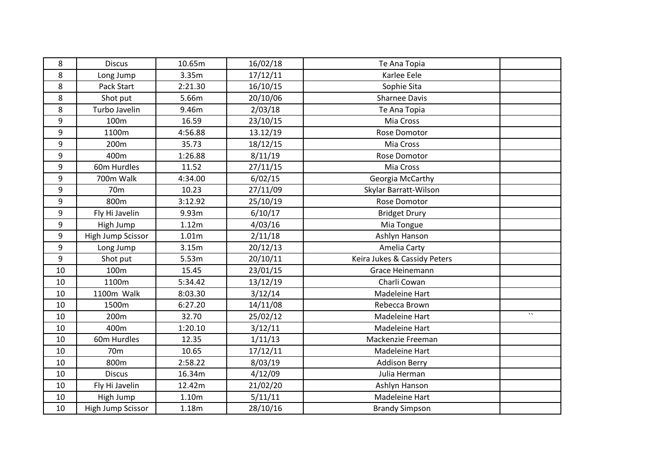| 8  | <b>Discus</b>     | 10.65m            | 16/02/18 | Te Ana Topia                 |              |
|----|-------------------|-------------------|----------|------------------------------|--------------|
| 8  | Long Jump         | 3.35m             | 17/12/11 | Karlee Eele                  |              |
| 8  | Pack Start        | 2:21.30           | 16/10/15 | Sophie Sita                  |              |
| 8  | Shot put          | 5.66m             | 20/10/06 | <b>Sharnee Davis</b>         |              |
| 8  | Turbo Javelin     | 9.46m             | 2/03/18  | Te Ana Topia                 |              |
| 9  | 100m              | 16.59             | 23/10/15 | Mia Cross                    |              |
| 9  | 1100m             | 4:56.88           | 13.12/19 | Rose Domotor                 |              |
| 9  | 200m              | 35.73             | 18/12/15 | Mia Cross                    |              |
| 9  | 400m              | 1:26.88           | 8/11/19  | Rose Domotor                 |              |
| 9  | 60m Hurdles       | 11.52             | 27/11/15 | Mia Cross                    |              |
| 9  | 700m Walk         | 4:34.00           | 6/02/15  | Georgia McCarthy             |              |
| 9  | 70 <sub>m</sub>   | 10.23             | 27/11/09 | Skylar Barratt-Wilson        |              |
| 9  | 800m              | 3:12.92           | 25/10/19 | Rose Domotor                 |              |
| 9  | Fly Hi Javelin    | 9.93m             | 6/10/17  | <b>Bridget Drury</b>         |              |
| 9  | High Jump         | 1.12m             | 4/03/16  | Mia Tongue                   |              |
| 9  | High Jump Scissor | 1.01m             | 2/11/18  | Ashlyn Hanson                |              |
| 9  | Long Jump         | 3.15m             | 20/12/13 | Amelia Carty                 |              |
| 9  | Shot put          | 5.53m             | 20/10/11 | Keira Jukes & Cassidy Peters |              |
| 10 | 100m              | 15.45             | 23/01/15 | Grace Heinemann              |              |
| 10 | 1100m             | 5:34.42           | 13/12/19 | Charli Cowan                 |              |
| 10 | 1100m Walk        | 8:03.30           | 3/12/14  | Madeleine Hart               |              |
| 10 | 1500m             | 6:27.20           | 14/11/08 | Rebecca Brown                |              |
| 10 | 200m              | 32.70             | 25/02/12 | Madeleine Hart               | $\mathbf{v}$ |
| 10 | 400m              | 1:20.10           | 3/12/11  | <b>Madeleine Hart</b>        |              |
| 10 | 60m Hurdles       | 12.35             | 1/11/13  | Mackenzie Freeman            |              |
| 10 | 70 <sub>m</sub>   | 10.65             | 17/12/11 | Madeleine Hart               |              |
| 10 | 800m              | 2:58.22           | 8/03/19  | <b>Addison Berry</b>         |              |
| 10 | <b>Discus</b>     | 16.34m            | 4/12/09  | Julia Herman                 |              |
| 10 | Fly Hi Javelin    | 12.42m            | 21/02/20 | Ashlyn Hanson                |              |
| 10 | High Jump         | 1.10 <sub>m</sub> | 5/11/11  | Madeleine Hart               |              |
| 10 | High Jump Scissor | 1.18m             | 28/10/16 | <b>Brandy Simpson</b>        |              |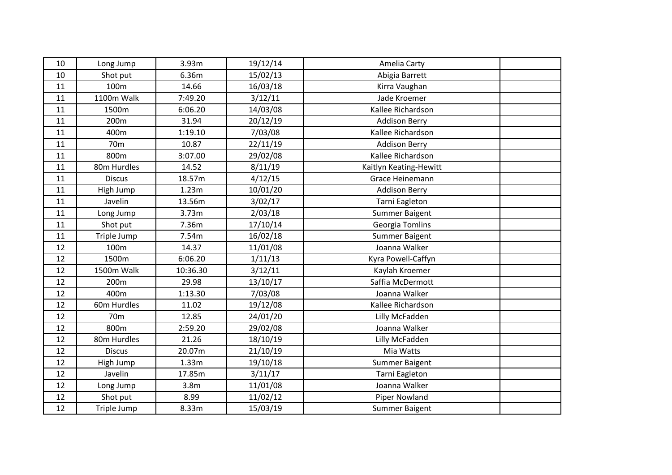| 10 | Long Jump       | 3.93m            | 19/12/14 | Amelia Carty           |
|----|-----------------|------------------|----------|------------------------|
| 10 | Shot put        | 6.36m            | 15/02/13 | Abigia Barrett         |
| 11 | 100m            | 14.66            | 16/03/18 | Kirra Vaughan          |
| 11 | 1100m Walk      | 7:49.20          | 3/12/11  | Jade Kroemer           |
| 11 | 1500m           | 6:06.20          | 14/03/08 | Kallee Richardson      |
| 11 | 200m            | 31.94            | 20/12/19 | <b>Addison Berry</b>   |
| 11 | 400m            | 1:19.10          | 7/03/08  | Kallee Richardson      |
| 11 | 70 <sub>m</sub> | 10.87            | 22/11/19 | <b>Addison Berry</b>   |
| 11 | 800m            | 3:07.00          | 29/02/08 | Kallee Richardson      |
| 11 | 80m Hurdles     | 14.52            | 8/11/19  | Kaitlyn Keating-Hewitt |
| 11 | <b>Discus</b>   | 18.57m           | 4/12/15  | Grace Heinemann        |
| 11 | High Jump       | 1.23m            | 10/01/20 | <b>Addison Berry</b>   |
| 11 | Javelin         | 13.56m           | 3/02/17  | <b>Tarni Eagleton</b>  |
| 11 | Long Jump       | 3.73m            | 2/03/18  | <b>Summer Baigent</b>  |
| 11 | Shot put        | 7.36m            | 17/10/14 | <b>Georgia Tomlins</b> |
| 11 | Triple Jump     | 7.54m            | 16/02/18 | <b>Summer Baigent</b>  |
| 12 | 100m            | 14.37            | 11/01/08 | Joanna Walker          |
| 12 | 1500m           | 6:06.20          | 1/11/13  | Kyra Powell-Caffyn     |
| 12 | 1500m Walk      | 10:36.30         | 3/12/11  | Kaylah Kroemer         |
| 12 | 200m            | 29.98            | 13/10/17 | Saffia McDermott       |
| 12 | 400m            | 1:13.30          | 7/03/08  | Joanna Walker          |
| 12 | 60m Hurdles     | 11.02            | 19/12/08 | Kallee Richardson      |
| 12 | 70 <sub>m</sub> | 12.85            | 24/01/20 | Lilly McFadden         |
| 12 | 800m            | 2:59.20          | 29/02/08 | Joanna Walker          |
| 12 | 80m Hurdles     | 21.26            | 18/10/19 | Lilly McFadden         |
| 12 | <b>Discus</b>   | 20.07m           | 21/10/19 | Mia Watts              |
| 12 | High Jump       | 1.33m            | 19/10/18 | <b>Summer Baigent</b>  |
| 12 | Javelin         | 17.85m           | 3/11/17  | <b>Tarni Eagleton</b>  |
| 12 | Long Jump       | 3.8 <sub>m</sub> | 11/01/08 | Joanna Walker          |
| 12 | Shot put        | 8.99             | 11/02/12 | Piper Nowland          |
| 12 | Triple Jump     | 8.33m            | 15/03/19 | <b>Summer Baigent</b>  |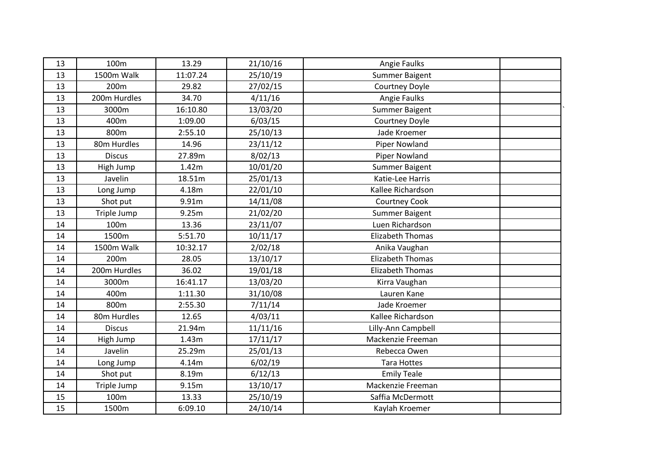| 13 | 100m          | 13.29    | 21/10/16 | Angie Faulks            |
|----|---------------|----------|----------|-------------------------|
| 13 | 1500m Walk    | 11:07.24 | 25/10/19 | Summer Baigent          |
| 13 | 200m          | 29.82    | 27/02/15 | <b>Courtney Doyle</b>   |
| 13 | 200m Hurdles  | 34.70    | 4/11/16  | Angie Faulks            |
| 13 | 3000m         | 16:10.80 | 13/03/20 | <b>Summer Baigent</b>   |
| 13 | 400m          | 1:09.00  | 6/03/15  | <b>Courtney Doyle</b>   |
| 13 | 800m          | 2:55.10  | 25/10/13 | Jade Kroemer            |
| 13 | 80m Hurdles   | 14.96    | 23/11/12 | <b>Piper Nowland</b>    |
| 13 | <b>Discus</b> | 27.89m   | 8/02/13  | <b>Piper Nowland</b>    |
| 13 | High Jump     | 1.42m    | 10/01/20 | <b>Summer Baigent</b>   |
| 13 | Javelin       | 18.51m   | 25/01/13 | Katie-Lee Harris        |
| 13 | Long Jump     | 4.18m    | 22/01/10 | Kallee Richardson       |
| 13 | Shot put      | 9.91m    | 14/11/08 | Courtney Cook           |
| 13 | Triple Jump   | 9.25m    | 21/02/20 | Summer Baigent          |
| 14 | 100m          | 13.36    | 23/11/07 | Luen Richardson         |
| 14 | 1500m         | 5:51.70  | 10/11/17 | <b>Elizabeth Thomas</b> |
| 14 | 1500m Walk    | 10:32.17 | 2/02/18  | Anika Vaughan           |
| 14 | 200m          | 28.05    | 13/10/17 | <b>Elizabeth Thomas</b> |
| 14 | 200m Hurdles  | 36.02    | 19/01/18 | <b>Elizabeth Thomas</b> |
| 14 | 3000m         | 16:41.17 | 13/03/20 | Kirra Vaughan           |
| 14 | 400m          | 1:11.30  | 31/10/08 | Lauren Kane             |
| 14 | 800m          | 2:55.30  | 7/11/14  | Jade Kroemer            |
| 14 | 80m Hurdles   | 12.65    | 4/03/11  | Kallee Richardson       |
| 14 | <b>Discus</b> | 21.94m   | 11/11/16 | Lilly-Ann Campbell      |
| 14 | High Jump     | 1.43m    | 17/11/17 | Mackenzie Freeman       |
| 14 | Javelin       | 25.29m   | 25/01/13 | Rebecca Owen            |
| 14 | Long Jump     | 4.14m    | 6/02/19  | <b>Tara Hottes</b>      |
| 14 | Shot put      | 8.19m    | 6/12/13  | <b>Emily Teale</b>      |
| 14 | Triple Jump   | 9.15m    | 13/10/17 | Mackenzie Freeman       |
| 15 | 100m          | 13.33    | 25/10/19 | Saffia McDermott        |
| 15 | 1500m         | 6:09.10  | 24/10/14 | Kaylah Kroemer          |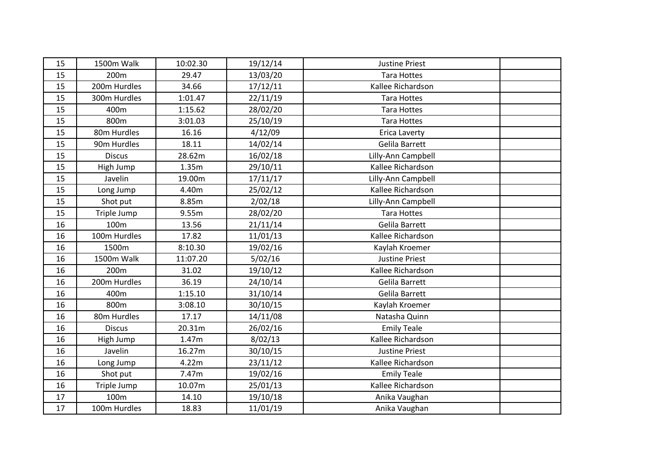| 15 | 1500m Walk       | 10:02.30 | 19/12/14              | <b>Justine Priest</b> |
|----|------------------|----------|-----------------------|-----------------------|
| 15 | 200 <sub>m</sub> | 29.47    | 13/03/20              | <b>Tara Hottes</b>    |
| 15 | 200m Hurdles     | 34.66    | 17/12/11              | Kallee Richardson     |
| 15 | 300m Hurdles     | 1:01.47  | 22/11/19              | <b>Tara Hottes</b>    |
| 15 | 400m             | 1:15.62  | 28/02/20              | <b>Tara Hottes</b>    |
| 15 | 800m             | 3:01.03  | 25/10/19              | <b>Tara Hottes</b>    |
| 15 | 80m Hurdles      | 16.16    | 4/12/09               | Erica Laverty         |
| 15 | 90m Hurdles      | 18.11    | 14/02/14              | Gelila Barrett        |
| 15 | <b>Discus</b>    | 28.62m   | 16/02/18              | Lilly-Ann Campbell    |
| 15 | High Jump        | 1.35m    | 29/10/11              | Kallee Richardson     |
| 15 | Javelin          | 19.00m   | 17/11/17              | Lilly-Ann Campbell    |
| 15 | Long Jump        | 4.40m    | 25/02/12              | Kallee Richardson     |
| 15 | Shot put         | 8.85m    | 2/02/18               | Lilly-Ann Campbell    |
| 15 | Triple Jump      | 9.55m    | 28/02/20              | <b>Tara Hottes</b>    |
| 16 | 100m             | 13.56    | 21/11/14              | <b>Gelila Barrett</b> |
| 16 | 100m Hurdles     | 17.82    | 11/01/13              | Kallee Richardson     |
| 16 | 1500m            | 8:10.30  | 19/02/16              | Kaylah Kroemer        |
| 16 | 1500m Walk       | 11:07.20 | 5/02/16               | <b>Justine Priest</b> |
| 16 | 200 <sub>m</sub> | 31.02    | 19/10/12              | Kallee Richardson     |
| 16 | 200m Hurdles     | 36.19    | 24/10/14              | Gelila Barrett        |
| 16 | 400m             | 1:15.10  | $\frac{1}{3}$ 1/10/14 | <b>Gelila Barrett</b> |
| 16 | 800m             | 3:08.10  | 30/10/15              | Kaylah Kroemer        |
| 16 | 80m Hurdles      | 17.17    | 14/11/08              | Natasha Quinn         |
| 16 | <b>Discus</b>    | 20.31m   | 26/02/16              | <b>Emily Teale</b>    |
| 16 | High Jump        | 1.47m    | 8/02/13               | Kallee Richardson     |
| 16 | Javelin          | 16.27m   | 30/10/15              | <b>Justine Priest</b> |
| 16 | Long Jump        | 4.22m    | 23/11/12              | Kallee Richardson     |
| 16 | Shot put         | 7.47m    | 19/02/16              | <b>Emily Teale</b>    |
| 16 | Triple Jump      | 10.07m   | 25/01/13              | Kallee Richardson     |
| 17 | 100m             | 14.10    | 19/10/18              | Anika Vaughan         |
| 17 | 100m Hurdles     | 18.83    | 11/01/19              | Anika Vaughan         |